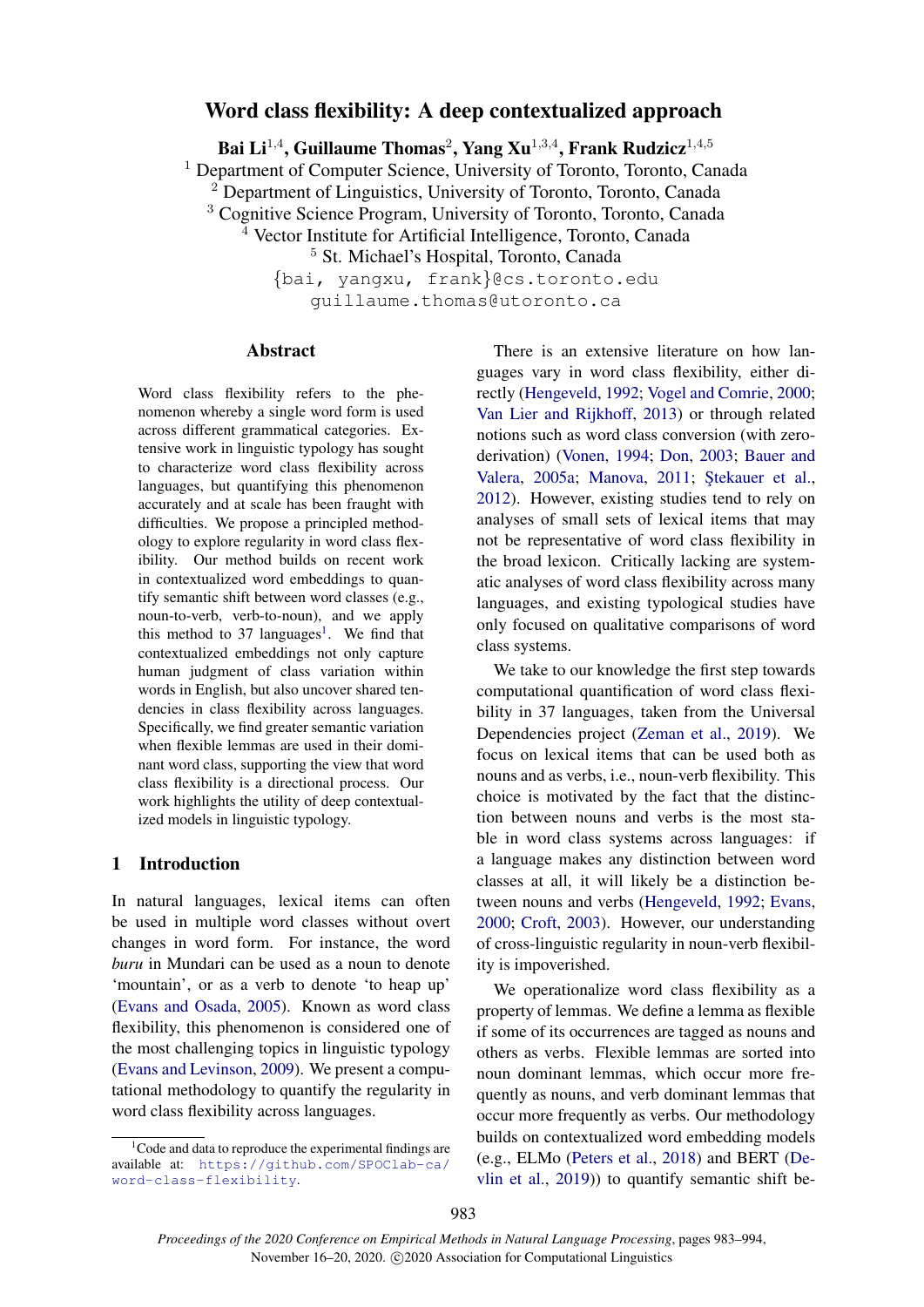# Word class flexibility: A deep contextualized approach

Bai Li<sup>1,4</sup>, Guillaume Thomas<sup>2</sup>, Yang Xu<sup>1,3,4</sup>, Frank Rudzicz<sup>1,4,5</sup>

<sup>1</sup> Department of Computer Science, University of Toronto, Toronto, Canada

 $2$  Department of Linguistics, University of Toronto, Toronto, Canada

<sup>3</sup> Cognitive Science Program, University of Toronto, Toronto, Canada

 $4$  Vector Institute for Artificial Intelligence, Toronto, Canada

<sup>5</sup> St. Michael's Hospital, Toronto, Canada

{bai, yangxu, frank}@cs.toronto.edu guillaume.thomas@utoronto.ca

### Abstract

Word class flexibility refers to the phenomenon whereby a single word form is used across different grammatical categories. Extensive work in linguistic typology has sought to characterize word class flexibility across languages, but quantifying this phenomenon accurately and at scale has been fraught with difficulties. We propose a principled methodology to explore regularity in word class flexibility. Our method builds on recent work in contextualized word embeddings to quantify semantic shift between word classes (e.g., noun-to-verb, verb-to-noun), and we apply this method to 37 languages<sup>1</sup>. We find that contextualized embeddings not only capture human judgment of class variation within words in English, but also uncover shared tendencies in class flexibility across languages. Specifically, we find greater semantic variation when flexible lemmas are used in their dominant word class, supporting the view that word class flexibility is a directional process. Our work highlights the utility of deep contextualized models in linguistic typology.

### 1 Introduction

In natural languages, lexical items can often be used in multiple word classes without overt changes in word form. For instance, the word *buru* in Mundari can be used as a noun to denote 'mountain', or as a verb to denote 'to heap up' (Evans and Osada, 2005). Known as word class flexibility, this phenomenon is considered one of the most challenging topics in linguistic typology (Evans and Levinson, 2009). We present a computational methodology to quantify the regularity in word class flexibility across languages.

There is an extensive literature on how languages vary in word class flexibility, either directly (Hengeveld, 1992; Vogel and Comrie, 2000; Van Lier and Rijkhoff, 2013) or through related notions such as word class conversion (with zeroderivation) (Vonen, 1994; Don, 2003; Bauer and Valera, 2005a; Manova, 2011; Ştekauer et al., 2012). However, existing studies tend to rely on analyses of small sets of lexical items that may not be representative of word class flexibility in the broad lexicon. Critically lacking are systematic analyses of word class flexibility across many languages, and existing typological studies have only focused on qualitative comparisons of word class systems.

We take to our knowledge the first step towards computational quantification of word class flexibility in 37 languages, taken from the Universal Dependencies project (Zeman et al., 2019). We focus on lexical items that can be used both as nouns and as verbs, i.e., noun-verb flexibility. This choice is motivated by the fact that the distinction between nouns and verbs is the most stable in word class systems across languages: if a language makes any distinction between word classes at all, it will likely be a distinction between nouns and verbs (Hengeveld, 1992; Evans, 2000; Croft, 2003). However, our understanding of cross-linguistic regularity in noun-verb flexibility is impoverished.

We operationalize word class flexibility as a property of lemmas. We define a lemma as flexible if some of its occurrences are tagged as nouns and others as verbs. Flexible lemmas are sorted into noun dominant lemmas, which occur more frequently as nouns, and verb dominant lemmas that occur more frequently as verbs. Our methodology builds on contextualized word embedding models (e.g., ELMo (Peters et al., 2018) and BERT (Devlin et al., 2019)) to quantify semantic shift be-

 $1^1$ Code and data to reproduce the experimental findings are available at: https://github.com/SPOClab-ca/ word-class-flexibility.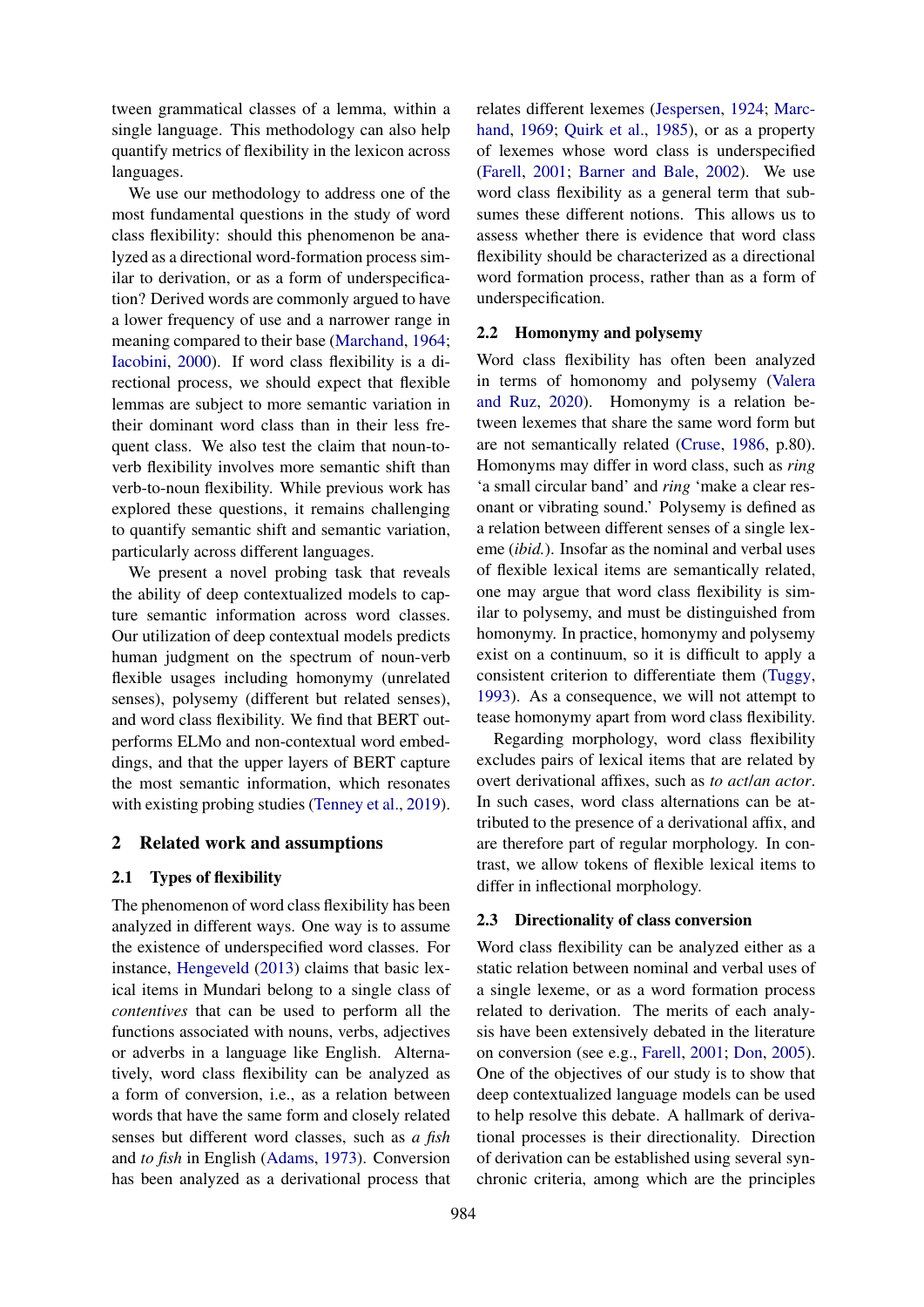tween grammatical classes of a lemma, within a single language. This methodology can also help quantify metrics of flexibility in the lexicon across languages.

We use our methodology to address one of the most fundamental questions in the study of word class flexibility: should this phenomenon be analyzed as a directional word-formation process similar to derivation, or as a form of underspecification? Derived words are commonly argued to have a lower frequency of use and a narrower range in meaning compared to their base (Marchand, 1964; Iacobini, 2000). If word class flexibility is a directional process, we should expect that flexible lemmas are subject to more semantic variation in their dominant word class than in their less frequent class. We also test the claim that noun-toverb flexibility involves more semantic shift than verb-to-noun flexibility. While previous work has explored these questions, it remains challenging to quantify semantic shift and semantic variation, particularly across different languages.

We present a novel probing task that reveals the ability of deep contextualized models to capture semantic information across word classes. Our utilization of deep contextual models predicts human judgment on the spectrum of noun-verb flexible usages including homonymy (unrelated senses), polysemy (different but related senses), and word class flexibility. We find that BERT outperforms ELMo and non-contextual word embeddings, and that the upper layers of BERT capture the most semantic information, which resonates with existing probing studies (Tenney et al., 2019).

### 2 Related work and assumptions

### 2.1 Types of flexibility

The phenomenon of word class flexibility has been analyzed in different ways. One way is to assume the existence of underspecified word classes. For instance, Hengeveld (2013) claims that basic lexical items in Mundari belong to a single class of *contentives* that can be used to perform all the functions associated with nouns, verbs, adjectives or adverbs in a language like English. Alternatively, word class flexibility can be analyzed as a form of conversion, i.e., as a relation between words that have the same form and closely related senses but different word classes, such as *a fish* and *to fish* in English (Adams, 1973). Conversion has been analyzed as a derivational process that relates different lexemes (Jespersen, 1924; Marchand, 1969; Quirk et al., 1985), or as a property of lexemes whose word class is underspecified (Farell, 2001; Barner and Bale, 2002). We use word class flexibility as a general term that subsumes these different notions. This allows us to assess whether there is evidence that word class flexibility should be characterized as a directional word formation process, rather than as a form of underspecification.

### 2.2 Homonymy and polysemy

Word class flexibility has often been analyzed in terms of homonomy and polysemy (Valera and Ruz, 2020). Homonymy is a relation between lexemes that share the same word form but are not semantically related (Cruse, 1986, p.80). Homonyms may differ in word class, such as *ring* 'a small circular band' and *ring* 'make a clear resonant or vibrating sound.' Polysemy is defined as a relation between different senses of a single lexeme (*ibid.*). Insofar as the nominal and verbal uses of flexible lexical items are semantically related, one may argue that word class flexibility is similar to polysemy, and must be distinguished from homonymy. In practice, homonymy and polysemy exist on a continuum, so it is difficult to apply a consistent criterion to differentiate them (Tuggy, 1993). As a consequence, we will not attempt to tease homonymy apart from word class flexibility.

Regarding morphology, word class flexibility excludes pairs of lexical items that are related by overt derivational affixes, such as *to act*/*an actor*. In such cases, word class alternations can be attributed to the presence of a derivational affix, and are therefore part of regular morphology. In contrast, we allow tokens of flexible lexical items to differ in inflectional morphology.

#### 2.3 Directionality of class conversion

Word class flexibility can be analyzed either as a static relation between nominal and verbal uses of a single lexeme, or as a word formation process related to derivation. The merits of each analysis have been extensively debated in the literature on conversion (see e.g., Farell, 2001; Don, 2005). One of the objectives of our study is to show that deep contextualized language models can be used to help resolve this debate. A hallmark of derivational processes is their directionality. Direction of derivation can be established using several synchronic criteria, among which are the principles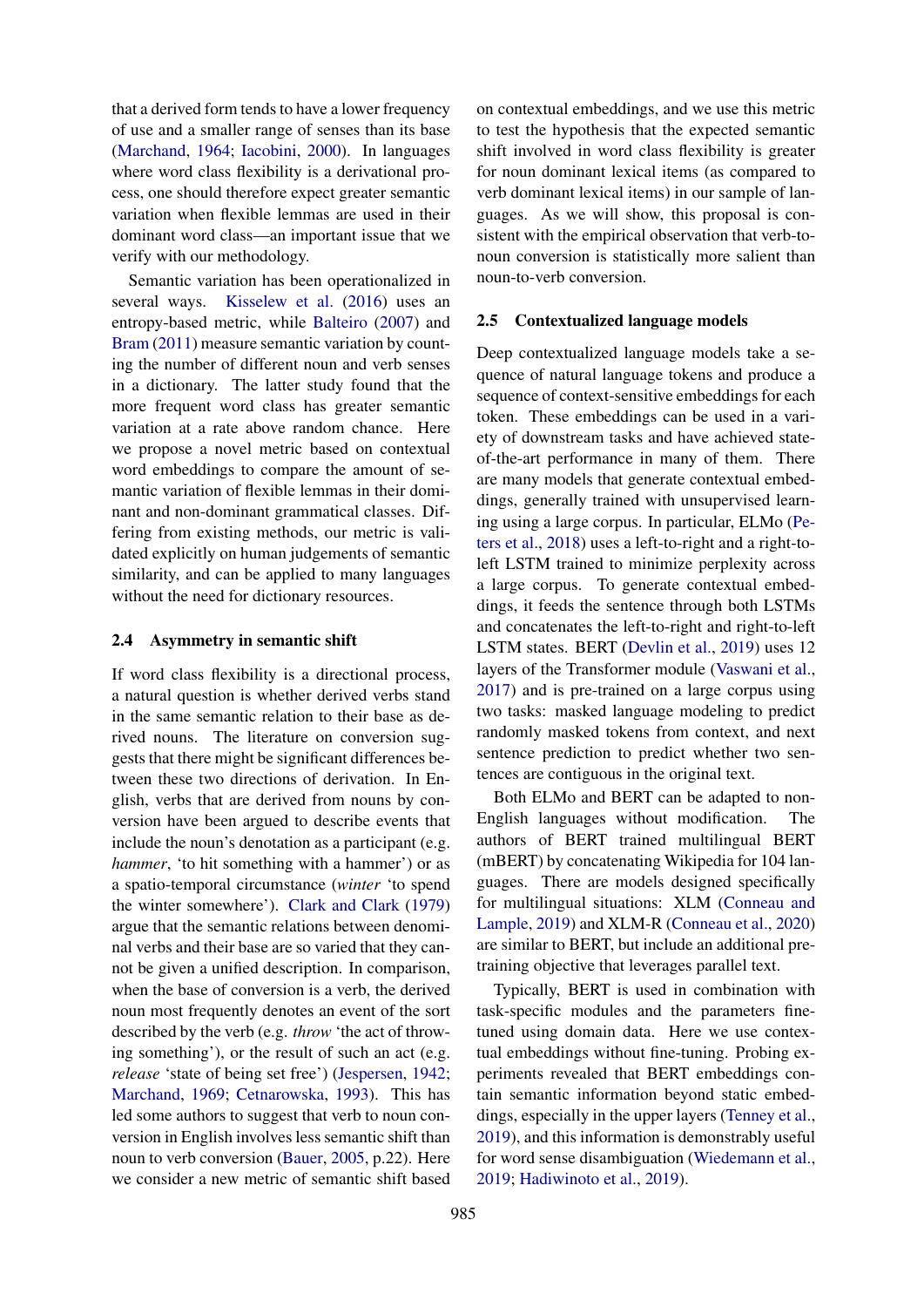that a derived form tends to have a lower frequency of use and a smaller range of senses than its base (Marchand, 1964; Iacobini, 2000). In languages where word class flexibility is a derivational process, one should therefore expect greater semantic variation when flexible lemmas are used in their dominant word class—an important issue that we verify with our methodology.

Semantic variation has been operationalized in several ways. Kisselew et al. (2016) uses an entropy-based metric, while Balteiro (2007) and Bram (2011) measure semantic variation by counting the number of different noun and verb senses in a dictionary. The latter study found that the more frequent word class has greater semantic variation at a rate above random chance. Here we propose a novel metric based on contextual word embeddings to compare the amount of semantic variation of flexible lemmas in their dominant and non-dominant grammatical classes. Differing from existing methods, our metric is validated explicitly on human judgements of semantic similarity, and can be applied to many languages without the need for dictionary resources.

#### 2.4 Asymmetry in semantic shift

If word class flexibility is a directional process, a natural question is whether derived verbs stand in the same semantic relation to their base as derived nouns. The literature on conversion suggests that there might be significant differences between these two directions of derivation. In English, verbs that are derived from nouns by conversion have been argued to describe events that include the noun's denotation as a participant (e.g. *hammer*, 'to hit something with a hammer') or as a spatio-temporal circumstance (*winter* 'to spend the winter somewhere'). Clark and Clark (1979) argue that the semantic relations between denominal verbs and their base are so varied that they cannot be given a unified description. In comparison, when the base of conversion is a verb, the derived noun most frequently denotes an event of the sort described by the verb (e.g. *throw* 'the act of throwing something'), or the result of such an act (e.g. *release* 'state of being set free') (Jespersen, 1942; Marchand, 1969; Cetnarowska, 1993). This has led some authors to suggest that verb to noun conversion in English involves less semantic shift than noun to verb conversion (Bauer, 2005, p.22). Here we consider a new metric of semantic shift based

on contextual embeddings, and we use this metric to test the hypothesis that the expected semantic shift involved in word class flexibility is greater for noun dominant lexical items (as compared to verb dominant lexical items) in our sample of languages. As we will show, this proposal is consistent with the empirical observation that verb-tonoun conversion is statistically more salient than noun-to-verb conversion.

#### 2.5 Contextualized language models

Deep contextualized language models take a sequence of natural language tokens and produce a sequence of context-sensitive embeddings for each token. These embeddings can be used in a variety of downstream tasks and have achieved stateof-the-art performance in many of them. There are many models that generate contextual embeddings, generally trained with unsupervised learning using a large corpus. In particular, ELMo (Peters et al., 2018) uses a left-to-right and a right-toleft LSTM trained to minimize perplexity across a large corpus. To generate contextual embeddings, it feeds the sentence through both LSTMs and concatenates the left-to-right and right-to-left LSTM states. BERT (Devlin et al., 2019) uses 12 layers of the Transformer module (Vaswani et al., 2017) and is pre-trained on a large corpus using two tasks: masked language modeling to predict randomly masked tokens from context, and next sentence prediction to predict whether two sentences are contiguous in the original text.

Both ELMo and BERT can be adapted to non-English languages without modification. The authors of BERT trained multilingual BERT (mBERT) by concatenating Wikipedia for 104 languages. There are models designed specifically for multilingual situations: XLM (Conneau and Lample, 2019) and XLM-R (Conneau et al., 2020) are similar to BERT, but include an additional pretraining objective that leverages parallel text.

Typically, BERT is used in combination with task-specific modules and the parameters finetuned using domain data. Here we use contextual embeddings without fine-tuning. Probing experiments revealed that BERT embeddings contain semantic information beyond static embeddings, especially in the upper layers (Tenney et al., 2019), and this information is demonstrably useful for word sense disambiguation (Wiedemann et al., 2019; Hadiwinoto et al., 2019).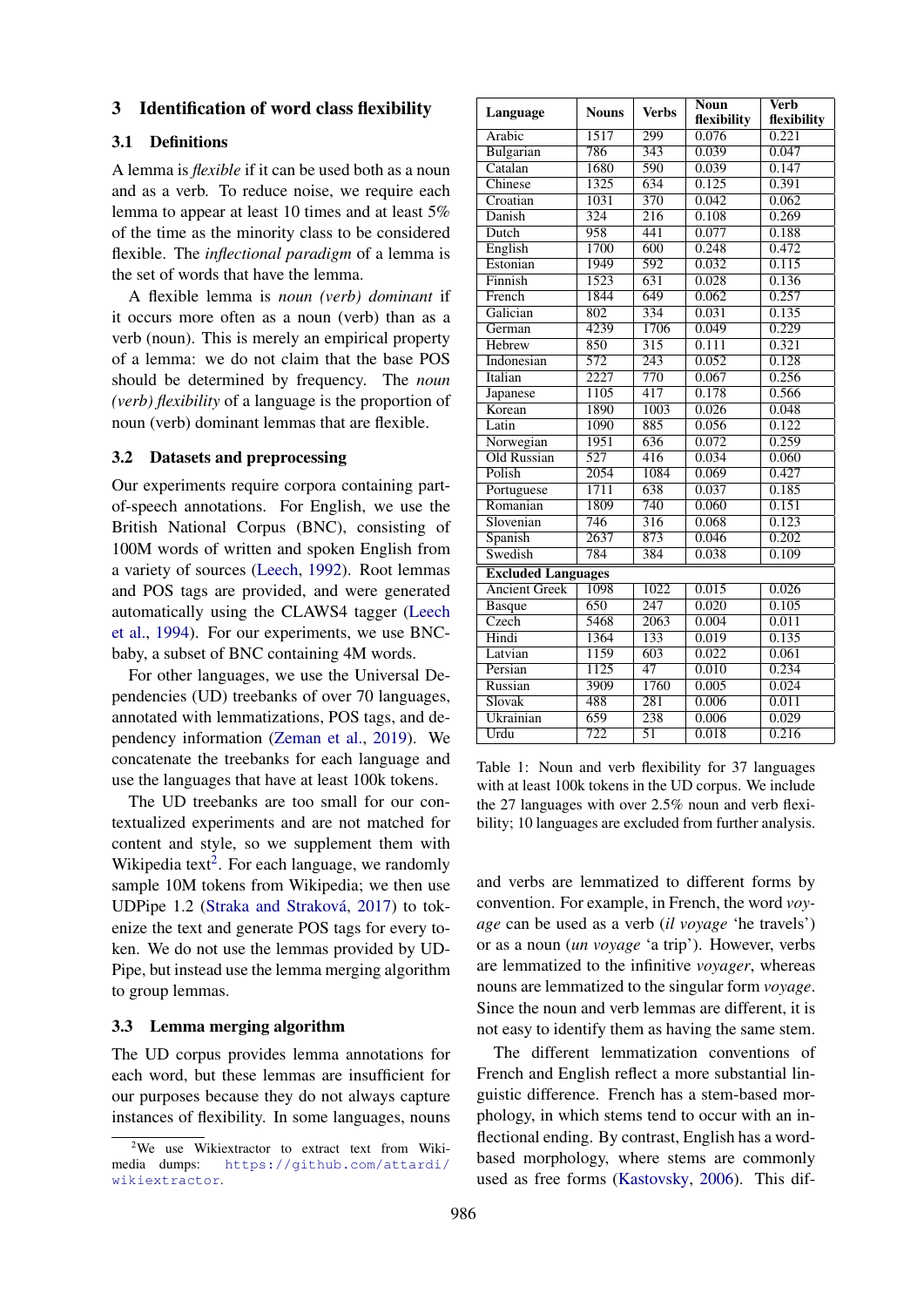### 3 Identification of word class flexibility

### 3.1 Definitions

A lemma is *flexible* if it can be used both as a noun and as a verb. To reduce noise, we require each lemma to appear at least 10 times and at least 5% of the time as the minority class to be considered flexible. The *inflectional paradigm* of a lemma is the set of words that have the lemma.

A flexible lemma is *noun (verb) dominant* if it occurs more often as a noun (verb) than as a verb (noun). This is merely an empirical property of a lemma: we do not claim that the base POS should be determined by frequency. The *noun (verb) flexibility* of a language is the proportion of noun (verb) dominant lemmas that are flexible.

### 3.2 Datasets and preprocessing

Our experiments require corpora containing partof-speech annotations. For English, we use the British National Corpus (BNC), consisting of 100M words of written and spoken English from a variety of sources (Leech, 1992). Root lemmas and POS tags are provided, and were generated automatically using the CLAWS4 tagger (Leech et al., 1994). For our experiments, we use BNCbaby, a subset of BNC containing 4M words.

For other languages, we use the Universal Dependencies (UD) treebanks of over 70 languages, annotated with lemmatizations, POS tags, and dependency information (Zeman et al., 2019). We concatenate the treebanks for each language and use the languages that have at least 100k tokens.

The UD treebanks are too small for our contextualized experiments and are not matched for content and style, so we supplement them with Wikipedia text<sup>2</sup>. For each language, we randomly sample 10M tokens from Wikipedia; we then use UDPipe 1.2 (Straka and Straková, 2017) to tokenize the text and generate POS tags for every token. We do not use the lemmas provided by UD-Pipe, but instead use the lemma merging algorithm to group lemmas.

### 3.3 Lemma merging algorithm

The UD corpus provides lemma annotations for each word, but these lemmas are insufficient for our purposes because they do not always capture instances of flexibility. In some languages, nouns

|                           |                   |                  | <b>Noun</b> | <b>Verb</b> |  |
|---------------------------|-------------------|------------------|-------------|-------------|--|
| Language                  | <b>Nouns</b>      | <b>Verbs</b>     | flexibility | flexibility |  |
| Arabic                    | 1517              | 299              | 0.076       | 0.221       |  |
| Bulgarian                 | 786               | 343              | 0.039       | 0.047       |  |
| Catalan                   | 1680              | 590              | 0.039       | 0.147       |  |
| Chinese                   | 1325              | 634              | 0.125       | 0.391       |  |
| Croatian                  | 1031              | 370              | 0.042       | 0.062       |  |
| Danish                    | 324               | 216              | 0.108       | 0.269       |  |
| Dutch                     | 958               | 441              | 0.077       | 0.188       |  |
| English                   | 1700              | 600              | 0.248       | 0.472       |  |
| Estonian                  | 1949              | 592              | 0.032       | 0.115       |  |
| Finnish                   | 1523              | 631              | 0.028       | 0.136       |  |
| French                    | 1844              | 649              | 0.062       | 0.257       |  |
| Galician                  | 802               | 334              | 0.031       | 0.135       |  |
| German                    | 4239              | 1706             | 0.049       | 0.229       |  |
| Hebrew                    | 850               | $\overline{315}$ | 0.111       | 0.321       |  |
| Indonesian                | $\overline{572}$  | 243              | 0.052       | 0.128       |  |
| Italian                   | 2227              | 770              | 0.067       | 0.256       |  |
| Japanese                  | 1105              | 417              | 0.178       | 0.566       |  |
| Korean                    | 1890              | 1003             | 0.026       | 0.048       |  |
| Latin                     | 1090              | 885              | 0.056       | 0.122       |  |
| Norwegian                 | 1951              | 636              | 0.072       | 0.259       |  |
| Old Russian               | 527               | 416              | 0.034       | 0.060       |  |
| Polish                    | $\overline{2054}$ | 1084             | 0.069       | 0.427       |  |
| Portuguese                | 1711              | 638              | 0.037       | 0.185       |  |
| Romanian                  | 1809              | 740              | 0.060       | 0.151       |  |
| Slovenian                 | 746               | $\overline{316}$ | 0.068       | 0.123       |  |
| Spanish                   | 2637              | 873              | 0.046       | 0.202       |  |
| Swedish                   | 784               | 384              | 0.038       | 0.109       |  |
| <b>Excluded Languages</b> |                   |                  |             |             |  |
| <b>Ancient Greek</b>      | 1098              | 1022             | 0.015       | 0.026       |  |
| <b>Basque</b>             | 650               | 247              | 0.020       | 0.105       |  |
| Czech                     | 5468              | 2063             | 0.004       | 0.011       |  |
| Hindi                     | 1364              | 133              | 0.019       | 0.135       |  |
| Latvian                   | 1159              | 603              | 0.022       | 0.061       |  |
| Persian                   | 1125              | 47               | 0.010       | 0.234       |  |
| Russian                   | 3909              | 1760             | 0.005       | 0.024       |  |
| Slovak                    | 488               | 281              | 0.006       | 0.011       |  |
| Ukrainian                 | 659               | 238              | 0.006       | 0.029       |  |
| Urdu                      | 722               | $\overline{51}$  | 0.018       | 0.216       |  |

Table 1: Noun and verb flexibility for 37 languages with at least 100k tokens in the UD corpus. We include the 27 languages with over 2.5% noun and verb flexibility; 10 languages are excluded from further analysis.

and verbs are lemmatized to different forms by convention. For example, in French, the word *voyage* can be used as a verb (*il voyage* 'he travels') or as a noun (*un voyage* 'a trip'). However, verbs are lemmatized to the infinitive *voyager*, whereas nouns are lemmatized to the singular form *voyage*. Since the noun and verb lemmas are different, it is not easy to identify them as having the same stem.

The different lemmatization conventions of French and English reflect a more substantial linguistic difference. French has a stem-based morphology, in which stems tend to occur with an inflectional ending. By contrast, English has a wordbased morphology, where stems are commonly used as free forms (Kastovsky, 2006). This dif-

<sup>&</sup>lt;sup>2</sup>We use Wikiextractor to extract text from Wikimedia dumps: https://github.com/attardi/ wikiextractor.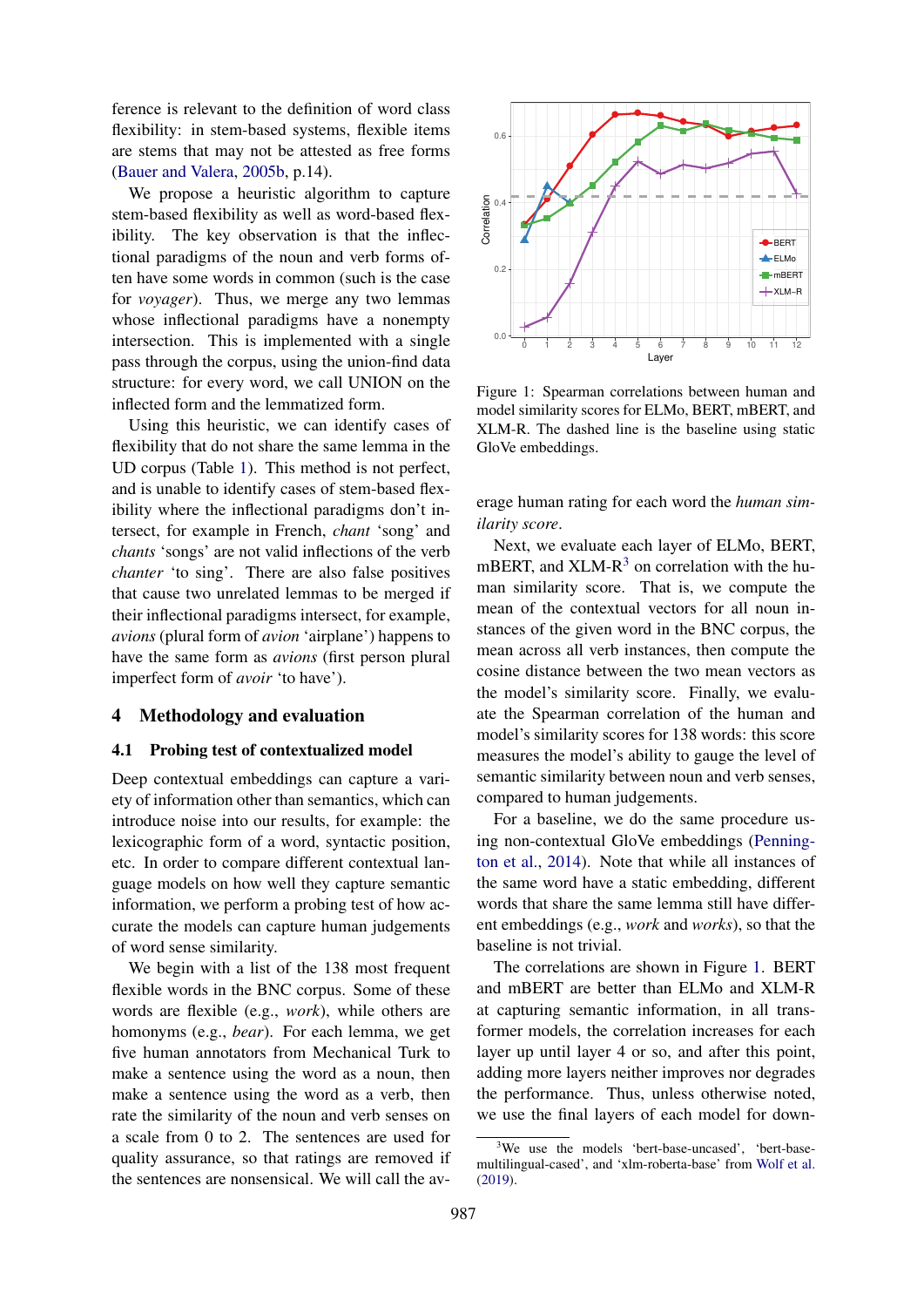ference is relevant to the definition of word class flexibility: in stem-based systems, flexible items are stems that may not be attested as free forms (Bauer and Valera, 2005b, p.14).

We propose a heuristic algorithm to capture stem-based flexibility as well as word-based flexibility. The key observation is that the inflectional paradigms of the noun and verb forms often have some words in common (such is the case for *voyager*). Thus, we merge any two lemmas whose inflectional paradigms have a nonempty intersection. This is implemented with a single pass through the corpus, using the union-find data structure: for every word, we call UNION on the inflected form and the lemmatized form.

Using this heuristic, we can identify cases of flexibility that do not share the same lemma in the UD corpus (Table 1). This method is not perfect, and is unable to identify cases of stem-based flexibility where the inflectional paradigms don't intersect, for example in French, *chant* 'song' and *chants* 'songs' are not valid inflections of the verb *chanter* 'to sing'. There are also false positives that cause two unrelated lemmas to be merged if their inflectional paradigms intersect, for example, *avions* (plural form of *avion* 'airplane') happens to have the same form as *avions* (first person plural imperfect form of *avoir* 'to have').

#### 4 Methodology and evaluation

#### 4.1 Probing test of contextualized model

Deep contextual embeddings can capture a variety of information other than semantics, which can introduce noise into our results, for example: the lexicographic form of a word, syntactic position, etc. In order to compare different contextual language models on how well they capture semantic information, we perform a probing test of how accurate the models can capture human judgements of word sense similarity.

We begin with a list of the 138 most frequent flexible words in the BNC corpus. Some of these words are flexible (e.g., *work*), while others are homonyms (e.g., *bear*). For each lemma, we get five human annotators from Mechanical Turk to make a sentence using the word as a noun, then make a sentence using the word as a verb, then rate the similarity of the noun and verb senses on a scale from 0 to 2. The sentences are used for quality assurance, so that ratings are removed if the sentences are nonsensical. We will call the av-



Figure 1: Spearman correlations between human and model similarity scores for ELMo, BERT, mBERT, and XLM-R. The dashed line is the baseline using static GloVe embeddings.

erage human rating for each word the *human similarity score*.

Next, we evaluate each layer of ELMo, BERT, mBERT, and  $XLM-R<sup>3</sup>$  on correlation with the human similarity score. That is, we compute the mean of the contextual vectors for all noun instances of the given word in the BNC corpus, the mean across all verb instances, then compute the cosine distance between the two mean vectors as the model's similarity score. Finally, we evaluate the Spearman correlation of the human and model's similarity scores for 138 words: this score measures the model's ability to gauge the level of semantic similarity between noun and verb senses, compared to human judgements.

For a baseline, we do the same procedure using non-contextual GloVe embeddings (Pennington et al., 2014). Note that while all instances of the same word have a static embedding, different words that share the same lemma still have different embeddings (e.g., *work* and *works*), so that the baseline is not trivial.

The correlations are shown in Figure 1. BERT and mBERT are better than ELMo and XLM-R at capturing semantic information, in all transformer models, the correlation increases for each layer up until layer 4 or so, and after this point, adding more layers neither improves nor degrades the performance. Thus, unless otherwise noted, we use the final layers of each model for down-

<sup>&</sup>lt;sup>3</sup>We use the models 'bert-base-uncased', 'bert-basemultilingual-cased', and 'xlm-roberta-base' from Wolf et al. (2019).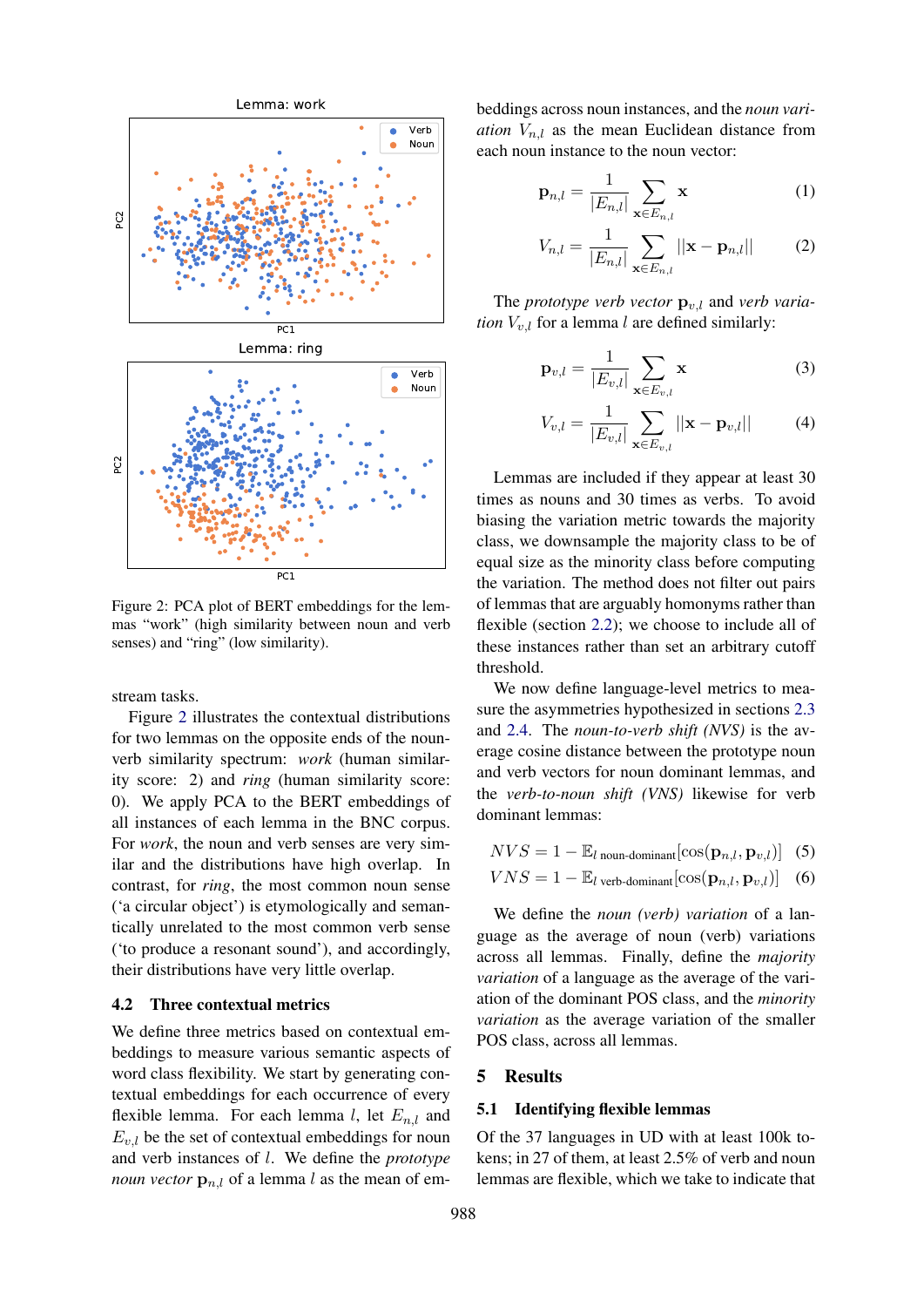

Figure 2: PCA plot of BERT embeddings for the lemmas "work" (high similarity between noun and verb senses) and "ring" (low similarity).

stream tasks.

Figure 2 illustrates the contextual distributions for two lemmas on the opposite ends of the nounverb similarity spectrum: *work* (human similarity score: 2) and *ring* (human similarity score: 0). We apply PCA to the BERT embeddings of all instances of each lemma in the BNC corpus. For *work*, the noun and verb senses are very similar and the distributions have high overlap. In contrast, for *ring*, the most common noun sense ('a circular object') is etymologically and semantically unrelated to the most common verb sense ('to produce a resonant sound'), and accordingly, their distributions have very little overlap.

#### 4.2 Three contextual metrics

We define three metrics based on contextual embeddings to measure various semantic aspects of word class flexibility. We start by generating contextual embeddings for each occurrence of every flexible lemma. For each lemma l, let  $E_{n,l}$  and  $E_{v,l}$  be the set of contextual embeddings for noun and verb instances of l. We define the *prototype noun vector*  $\mathbf{p}_{n,l}$  of a lemma l as the mean of embeddings across noun instances, and the *noun variation*  $V_{n,l}$  as the mean Euclidean distance from each noun instance to the noun vector:

$$
\mathbf{p}_{n,l} = \frac{1}{|E_{n,l}|} \sum_{\mathbf{x} \in E_{n,l}} \mathbf{x}
$$
 (1)

$$
V_{n,l} = \frac{1}{|E_{n,l}|} \sum_{\mathbf{x} \in E_{n,l}} ||\mathbf{x} - \mathbf{p}_{n,l}||
$$
 (2)

The *prototype verb vector*  $\mathbf{p}_{v,l}$  and *verb variation*  $V_{v,l}$  for a lemma l are defined similarly:

$$
\mathbf{p}_{v,l} = \frac{1}{|E_{v,l}|} \sum_{\mathbf{x} \in E_{v,l}} \mathbf{x}
$$
 (3)

$$
V_{v,l} = \frac{1}{|E_{v,l}|} \sum_{\mathbf{x} \in E_{v,l}} ||\mathbf{x} - \mathbf{p}_{v,l}||
$$
 (4)

Lemmas are included if they appear at least 30 times as nouns and 30 times as verbs. To avoid biasing the variation metric towards the majority class, we downsample the majority class to be of equal size as the minority class before computing the variation. The method does not filter out pairs of lemmas that are arguably homonyms rather than flexible (section 2.2); we choose to include all of these instances rather than set an arbitrary cutoff threshold.

We now define language-level metrics to measure the asymmetries hypothesized in sections 2.3 and 2.4. The *noun-to-verb shift (NVS)* is the average cosine distance between the prototype noun and verb vectors for noun dominant lemmas, and the *verb-to-noun shift (VNS)* likewise for verb dominant lemmas:

$$
NVS = 1 - \mathbb{E}_{l \text{ noun-dominant}}[\cos(\mathbf{p}_{n,l}, \mathbf{p}_{v,l})]
$$
 (5)

$$
VNS = 1 - \mathbb{E}_{l \text{ verb-dominant}}[\cos(\mathbf{p}_{n,l}, \mathbf{p}_{v,l})]
$$
 (6)

We define the *noun (verb) variation* of a language as the average of noun (verb) variations across all lemmas. Finally, define the *majority variation* of a language as the average of the variation of the dominant POS class, and the *minority variation* as the average variation of the smaller POS class, across all lemmas.

### 5 Results

### 5.1 Identifying flexible lemmas

Of the 37 languages in UD with at least 100k tokens; in 27 of them, at least 2.5% of verb and noun lemmas are flexible, which we take to indicate that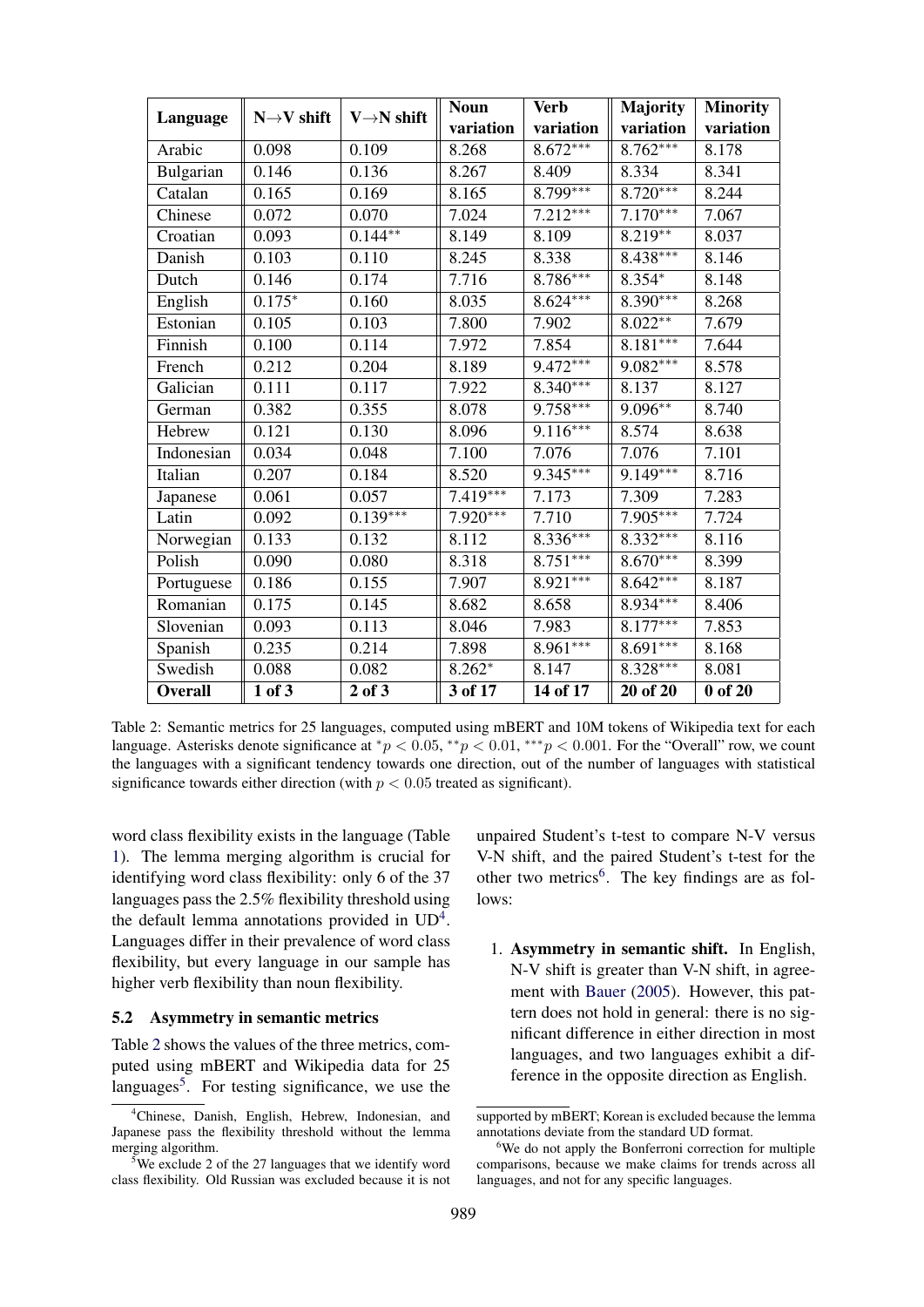|                | $N \rightarrow V$ shift | $V \rightarrow N$ shift | <b>Noun</b> | <b>Verb</b> | Majority   | <b>Minority</b> |  |
|----------------|-------------------------|-------------------------|-------------|-------------|------------|-----------------|--|
| Language       |                         |                         | variation   | variation   | variation  | variation       |  |
| Arabic         | 0.098                   | 0.109                   | 8.268       | $8.672***$  | 8.762***   | 8.178           |  |
| Bulgarian      | 0.146                   | 0.136                   | 8.267       | 8.409       | 8.334      | 8.341           |  |
| Catalan        | 0.165                   | 0.169                   | 8.165       | $8.799***$  | $8.720***$ | 8.244           |  |
| Chinese        | 0.072                   | 0.070                   | 7.024       | $7.212***$  | $7.170***$ | 7.067           |  |
| Croatian       | 0.093                   | $0.144**$               | 8.149       | 8.109       | $8.219***$ | 8.037           |  |
| Danish         | 0.103                   | 0.110                   | 8.245       | 8.338       | $8.438***$ | 8.146           |  |
| Dutch          | 0.146                   | 0.174                   | 7.716       | $8.786***$  | $8.354*$   | 8.148           |  |
| English        | $0.175*$                | 0.160                   | 8.035       | $8.624***$  | $8.390***$ | 8.268           |  |
| Estonian       | 0.105                   | 0.103                   | 7.800       | 7.902       | $8.022**$  | 7.679           |  |
| Finnish        | 0.100                   | 0.114                   | 7.972       | 7.854       | $8.181***$ | 7.644           |  |
| French         | 0.212                   | 0.204                   | 8.189       | $9.472***$  | $9.082***$ | 8.578           |  |
| Galician       | 0.111                   | 0.117                   | 7.922       | $8.340***$  | 8.137      | 8.127           |  |
| German         | 0.382                   | 0.355                   | 8.078       | $9.758***$  | $9.096**$  | 8.740           |  |
| Hebrew         | 0.121                   | 0.130                   | 8.096       | $9.116***$  | 8.574      | 8.638           |  |
| Indonesian     | 0.034                   | 0.048                   | 7.100       | 7.076       | 7.076      | 7.101           |  |
| Italian        | 0.207                   | 0.184                   | 8.520       | $9.345***$  | 9.149***   | 8.716           |  |
| Japanese       | 0.061                   | 0.057                   | $7.419***$  | 7.173       | 7.309      | 7.283           |  |
| Latin          | 0.092                   | $0.139***$              | $7.920***$  | 7.710       | $7.905***$ | 7.724           |  |
| Norwegian      | 0.133                   | 0.132                   | 8.112       | $8.336***$  | $8.332***$ | 8.116           |  |
| Polish         | 0.090                   | 0.080                   | 8.318       | $8.751***$  | $8.670***$ | 8.399           |  |
| Portuguese     | 0.186                   | 0.155                   | 7.907       | $8.921***$  | $8.642***$ | 8.187           |  |
| Romanian       | 0.175                   | 0.145                   | 8.682       | 8.658       | $8.934***$ | 8.406           |  |
| Slovenian      | 0.093                   | 0.113                   | 8.046       | 7.983       | $8.177***$ | 7.853           |  |
| Spanish        | 0.235                   | 0.214                   | 7.898       | 8.961***    | $8.691***$ | 8.168           |  |
| Swedish        | 0.088                   | 0.082                   | $8.262*$    | 8.147       | $8.328***$ | 8.081           |  |
| <b>Overall</b> | $1$ of $3$              | $2$ of $3$              | 3 of 17     | 14 of 17    | 20 of 20   | $0$ of $20$     |  |

Table 2: Semantic metrics for 25 languages, computed using mBERT and 10M tokens of Wikipedia text for each language. Asterisks denote significance at \*p < 0.05, \*\*p < 0.01, \*\*\*p < 0.001. For the "Overall" row, we count the languages with a significant tendency towards one direction, out of the number of languages with statistical significance towards either direction (with  $p < 0.05$  treated as significant).

word class flexibility exists in the language (Table 1). The lemma merging algorithm is crucial for identifying word class flexibility: only 6 of the 37 languages pass the 2.5% flexibility threshold using the default lemma annotations provided in  $UD^4$ . Languages differ in their prevalence of word class flexibility, but every language in our sample has higher verb flexibility than noun flexibility.

#### 5.2 Asymmetry in semantic metrics

Table 2 shows the values of the three metrics, computed using mBERT and Wikipedia data for 25 languages<sup>5</sup>. For testing significance, we use the

unpaired Student's t-test to compare N-V versus V-N shift, and the paired Student's t-test for the other two metrics<sup>6</sup>. The key findings are as follows:

1. Asymmetry in semantic shift. In English, N-V shift is greater than V-N shift, in agreement with Bauer (2005). However, this pattern does not hold in general: there is no significant difference in either direction in most languages, and two languages exhibit a difference in the opposite direction as English.

<sup>4</sup>Chinese, Danish, English, Hebrew, Indonesian, and Japanese pass the flexibility threshold without the lemma merging algorithm.

 $5$ We exclude 2 of the 27 languages that we identify word class flexibility. Old Russian was excluded because it is not

supported by mBERT; Korean is excluded because the lemma annotations deviate from the standard UD format.

<sup>&</sup>lt;sup>6</sup>We do not apply the Bonferroni correction for multiple comparisons, because we make claims for trends across all languages, and not for any specific languages.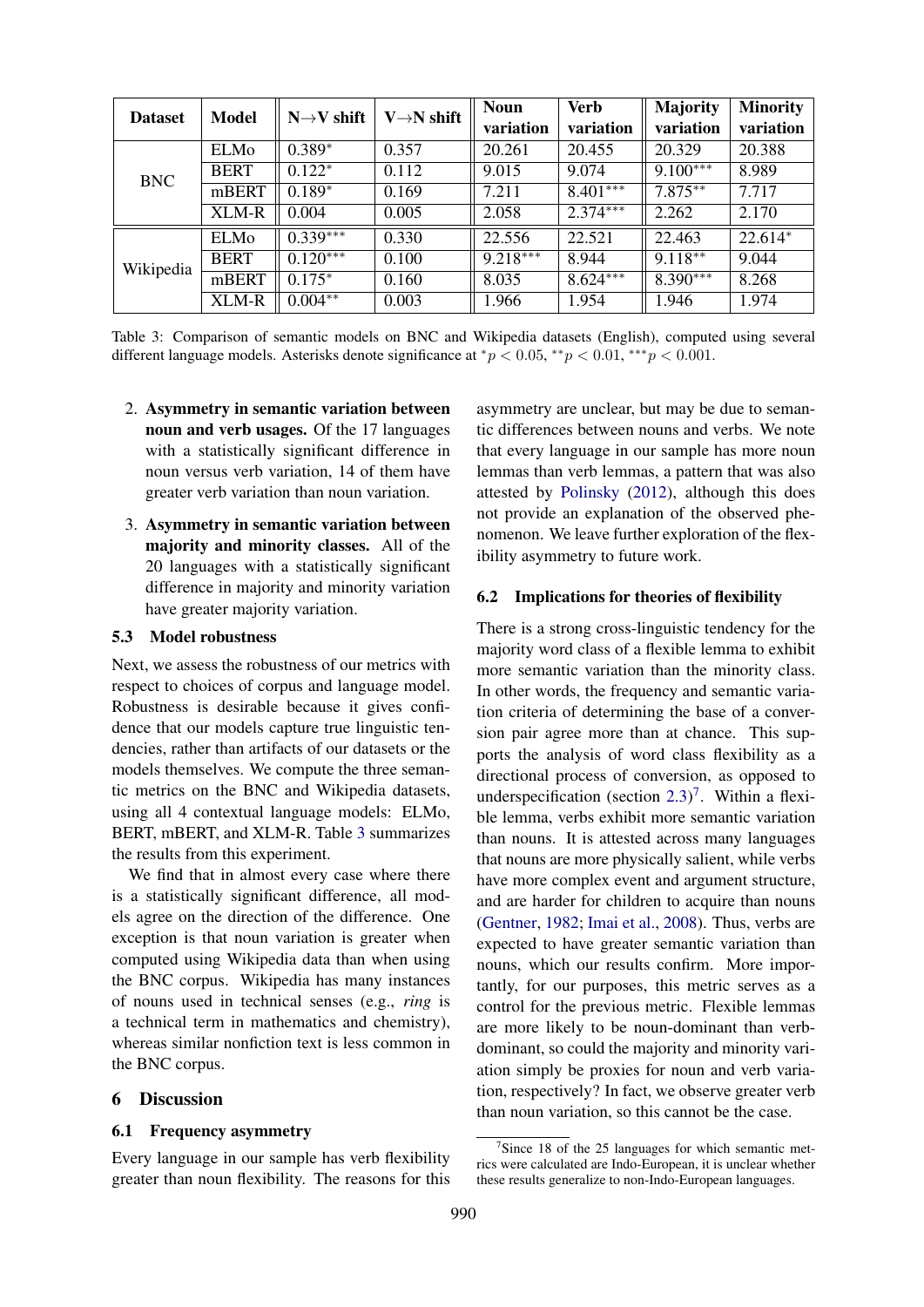| <b>Dataset</b> | <b>Model</b> | $N \rightarrow V$ shift | $V \rightarrow N$ shift | <b>Noun</b> | <b>Verb</b> | <b>Majority</b> | <b>Minority</b> |
|----------------|--------------|-------------------------|-------------------------|-------------|-------------|-----------------|-----------------|
|                |              |                         |                         | variation   | variation   | variation       | variation       |
| <b>BNC</b>     | <b>ELMo</b>  | $0.389*$                | 0.357                   | 20.261      | 20.455      | 20.329          | 20.388          |
|                | <b>BERT</b>  | $0.122*$                | 0.112                   | 9.015       | 9.074       | $9.100***$      | 8.989           |
|                | mBERT        | $0.189*$                | 0.169                   | 7.211       | $8.401***$  | $7.875***$      | 7.717           |
|                | XLM-R        | 0.004                   | 0.005                   | 2.058       | $2.374***$  | 2.262           | 2.170           |
| Wikipedia      | ELMo         | $0.339***$              | 0.330                   | 22.556      | 22.521      | 22.463          | 22.614*         |
|                | <b>BERT</b>  | $0.120***$              | 0.100                   | $9.218***$  | 8.944       | $9.118**$       | 9.044           |
|                | mBERT        | $0.175*$                | 0.160                   | 8.035       | $8.624***$  | $8.390***$      | 8.268           |
|                | <b>XLM-R</b> | $0.004**$               | 0.003                   | 1.966       | 1.954       | 1.946           | 1.974           |

Table 3: Comparison of semantic models on BNC and Wikipedia datasets (English), computed using several different language models. Asterisks denote significance at  $\frac{*p}{2} < 0.05, \frac{**p}{2} < 0.01, \frac{***p}{2} < 0.001$ .

- 2. Asymmetry in semantic variation between noun and verb usages. Of the 17 languages with a statistically significant difference in noun versus verb variation, 14 of them have greater verb variation than noun variation.
- 3. Asymmetry in semantic variation between majority and minority classes. All of the 20 languages with a statistically significant difference in majority and minority variation have greater majority variation.

### 5.3 Model robustness

Next, we assess the robustness of our metrics with respect to choices of corpus and language model. Robustness is desirable because it gives confidence that our models capture true linguistic tendencies, rather than artifacts of our datasets or the models themselves. We compute the three semantic metrics on the BNC and Wikipedia datasets, using all 4 contextual language models: ELMo, BERT, mBERT, and XLM-R. Table 3 summarizes the results from this experiment.

We find that in almost every case where there is a statistically significant difference, all models agree on the direction of the difference. One exception is that noun variation is greater when computed using Wikipedia data than when using the BNC corpus. Wikipedia has many instances of nouns used in technical senses (e.g., *ring* is a technical term in mathematics and chemistry), whereas similar nonfiction text is less common in the BNC corpus.

### 6 Discussion

### 6.1 Frequency asymmetry

Every language in our sample has verb flexibility greater than noun flexibility. The reasons for this

asymmetry are unclear, but may be due to semantic differences between nouns and verbs. We note that every language in our sample has more noun lemmas than verb lemmas, a pattern that was also attested by Polinsky (2012), although this does not provide an explanation of the observed phenomenon. We leave further exploration of the flexibility asymmetry to future work.

#### 6.2 Implications for theories of flexibility

There is a strong cross-linguistic tendency for the majority word class of a flexible lemma to exhibit more semantic variation than the minority class. In other words, the frequency and semantic variation criteria of determining the base of a conversion pair agree more than at chance. This supports the analysis of word class flexibility as a directional process of conversion, as opposed to underspecification (section  $2.3$ )<sup>7</sup>. Within a flexible lemma, verbs exhibit more semantic variation than nouns. It is attested across many languages that nouns are more physically salient, while verbs have more complex event and argument structure, and are harder for children to acquire than nouns (Gentner, 1982; Imai et al., 2008). Thus, verbs are expected to have greater semantic variation than nouns, which our results confirm. More importantly, for our purposes, this metric serves as a control for the previous metric. Flexible lemmas are more likely to be noun-dominant than verbdominant, so could the majority and minority variation simply be proxies for noun and verb variation, respectively? In fact, we observe greater verb than noun variation, so this cannot be the case.

<sup>&</sup>lt;sup>7</sup>Since 18 of the 25 languages for which semantic metrics were calculated are Indo-European, it is unclear whether these results generalize to non-Indo-European languages.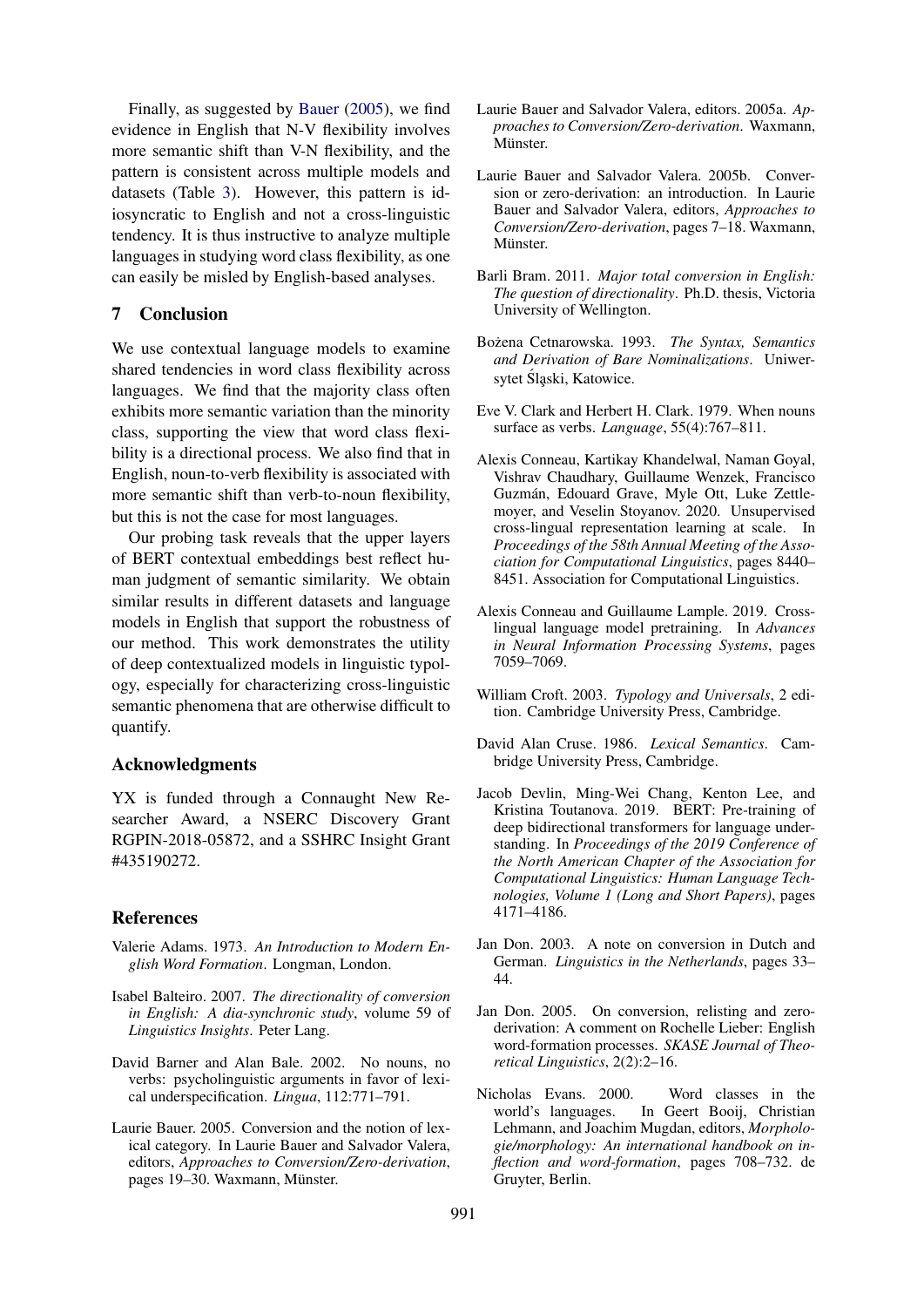Finally, as suggested by Bauer (2005), we find evidence in English that N-V flexibility involves more semantic shift than V-N flexibility, and the pattern is consistent across multiple models and datasets (Table 3). However, this pattern is idiosyncratic to English and not a cross-linguistic tendency. It is thus instructive to analyze multiple languages in studying word class flexibility, as one can easily be misled by English-based analyses.

## 7 Conclusion

We use contextual language models to examine shared tendencies in word class flexibility across languages. We find that the majority class often exhibits more semantic variation than the minority class, supporting the view that word class flexibility is a directional process. We also find that in English, noun-to-verb flexibility is associated with more semantic shift than verb-to-noun flexibility, but this is not the case for most languages.

Our probing task reveals that the upper layers of BERT contextual embeddings best reflect human judgment of semantic similarity. We obtain similar results in different datasets and language models in English that support the robustness of our method. This work demonstrates the utility of deep contextualized models in linguistic typology, especially for characterizing cross-linguistic semantic phenomena that are otherwise difficult to quantify.

### Acknowledgments

YX is funded through a Connaught New Researcher Award, a NSERC Discovery Grant RGPIN-2018-05872, and a SSHRC Insight Grant #435190272.

#### References

- Valerie Adams. 1973. *An Introduction to Modern English Word Formation*. Longman, London.
- Isabel Balteiro. 2007. *The directionality of conversion in English: A dia-synchronic study*, volume 59 of *Linguistics Insights*. Peter Lang.
- David Barner and Alan Bale. 2002. No nouns, no verbs: psycholinguistic arguments in favor of lexical underspecification. *Lingua*, 112:771–791.
- Laurie Bauer. 2005. Conversion and the notion of lexical category. In Laurie Bauer and Salvador Valera, editors, *Approaches to Conversion/Zero-derivation*, pages 19–30. Waxmann, Münster.
- Laurie Bauer and Salvador Valera, editors. 2005a. *Approaches to Conversion/Zero-derivation*. Waxmann, Miinster.
- Laurie Bauer and Salvador Valera. 2005b. Conversion or zero-derivation: an introduction. In Laurie Bauer and Salvador Valera, editors, *Approaches to Conversion/Zero-derivation*, pages 7–18. Waxmann, Münster.
- Barli Bram. 2011. *Major total conversion in English: The question of directionality*. Ph.D. thesis, Victoria University of Wellington.
- Bozena Cetnarowska. 1993. ˙ *The Syntax, Semantics and Derivation of Bare Nominalizations*. Uniwersytet Śląski, Katowice.
- Eve V. Clark and Herbert H. Clark. 1979. When nouns surface as verbs. *Language*, 55(4):767–811.
- Alexis Conneau, Kartikay Khandelwal, Naman Goyal, Vishrav Chaudhary, Guillaume Wenzek, Francisco Guzmán, Edouard Grave, Myle Ott, Luke Zettlemoyer, and Veselin Stoyanov. 2020. Unsupervised cross-lingual representation learning at scale. In *Proceedings of the 58th Annual Meeting of the Association for Computational Linguistics*, pages 8440– 8451. Association for Computational Linguistics.
- Alexis Conneau and Guillaume Lample. 2019. Crosslingual language model pretraining. In *Advances in Neural Information Processing Systems*, pages 7059–7069.
- William Croft. 2003. *Typology and Universals*, 2 edition. Cambridge University Press, Cambridge.
- David Alan Cruse. 1986. *Lexical Semantics*. Cambridge University Press, Cambridge.
- Jacob Devlin, Ming-Wei Chang, Kenton Lee, and Kristina Toutanova. 2019. BERT: Pre-training of deep bidirectional transformers for language understanding. In *Proceedings of the 2019 Conference of the North American Chapter of the Association for Computational Linguistics: Human Language Technologies, Volume 1 (Long and Short Papers)*, pages 4171–4186.
- Jan Don. 2003. A note on conversion in Dutch and German. *Linguistics in the Netherlands*, pages 33– 44.
- Jan Don. 2005. On conversion, relisting and zeroderivation: A comment on Rochelle Lieber: English word-formation processes. *SKASE Journal of Theoretical Linguistics*, 2(2):2–16.
- Nicholas Evans. 2000. Word classes in the world's languages. In Geert Booij, Christian Lehmann, and Joachim Mugdan, editors, *Morphologie/morphology: An international handbook on inflection and word-formation*, pages 708–732. de Gruyter, Berlin.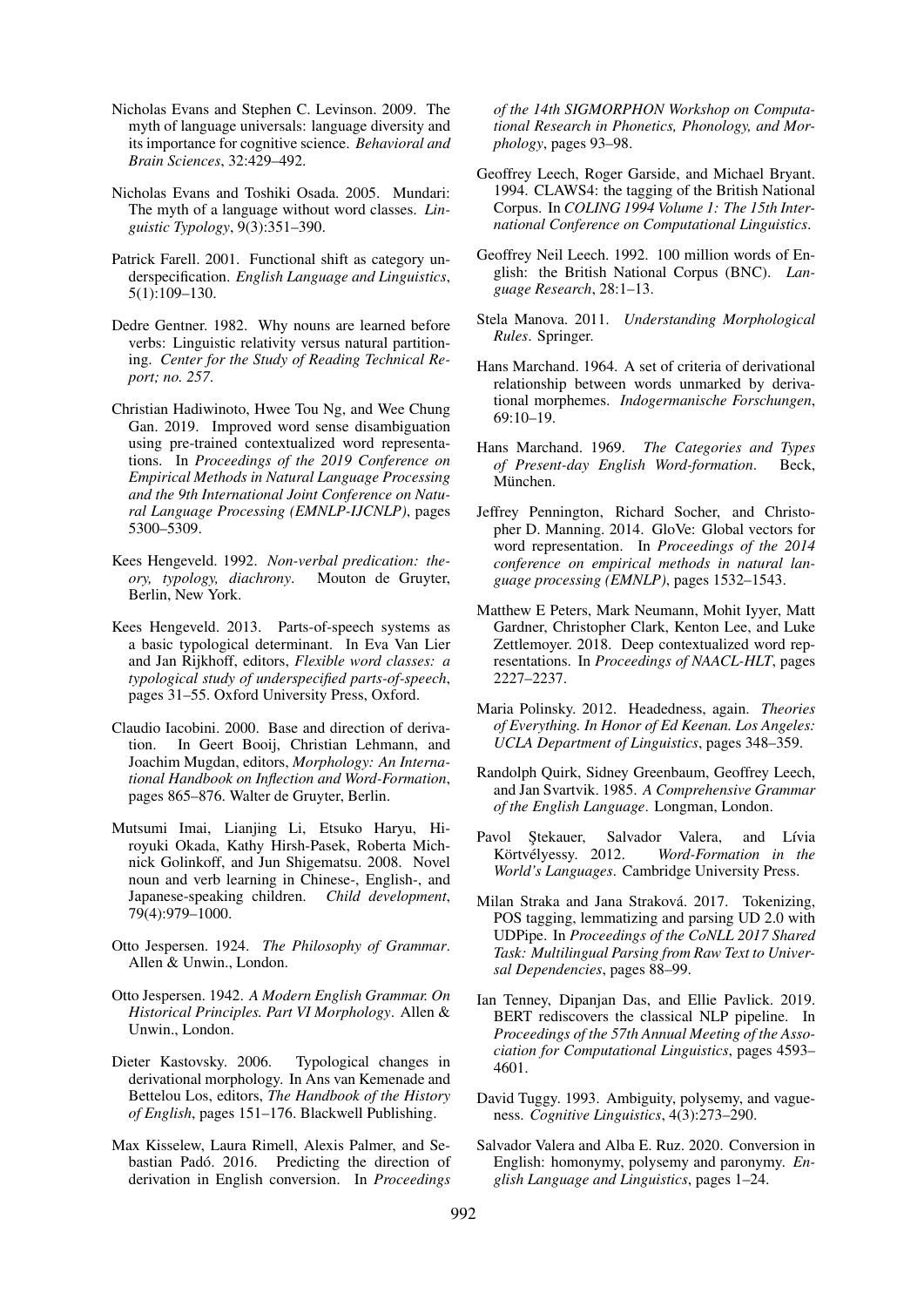- Nicholas Evans and Stephen C. Levinson. 2009. The myth of language universals: language diversity and its importance for cognitive science. *Behavioral and Brain Sciences*, 32:429–492.
- Nicholas Evans and Toshiki Osada. 2005. Mundari: The myth of a language without word classes. *Linguistic Typology*, 9(3):351–390.
- Patrick Farell. 2001. Functional shift as category underspecification. *English Language and Linguistics*, 5(1):109–130.
- Dedre Gentner. 1982. Why nouns are learned before verbs: Linguistic relativity versus natural partitioning. *Center for the Study of Reading Technical Report; no. 257*.
- Christian Hadiwinoto, Hwee Tou Ng, and Wee Chung Gan. 2019. Improved word sense disambiguation using pre-trained contextualized word representations. In *Proceedings of the 2019 Conference on Empirical Methods in Natural Language Processing and the 9th International Joint Conference on Natural Language Processing (EMNLP-IJCNLP)*, pages 5300–5309.
- Kees Hengeveld. 1992. *Non-verbal predication: theory, typology, diachrony*. Mouton de Gruyter, Berlin, New York.
- Kees Hengeveld. 2013. Parts-of-speech systems as a basic typological determinant. In Eva Van Lier and Jan Rijkhoff, editors, *Flexible word classes: a typological study of underspecified parts-of-speech*, pages 31–55. Oxford University Press, Oxford.
- Claudio Iacobini. 2000. Base and direction of derivation. In Geert Booij, Christian Lehmann, and Joachim Mugdan, editors, *Morphology: An International Handbook on Inflection and Word-Formation*, pages 865–876. Walter de Gruyter, Berlin.
- Mutsumi Imai, Lianjing Li, Etsuko Haryu, Hiroyuki Okada, Kathy Hirsh-Pasek, Roberta Michnick Golinkoff, and Jun Shigematsu. 2008. Novel noun and verb learning in Chinese-, English-, and Japanese-speaking children. *Child development*, 79(4):979–1000.
- Otto Jespersen. 1924. *The Philosophy of Grammar*. Allen & Unwin., London.
- Otto Jespersen. 1942. *A Modern English Grammar. On Historical Principles. Part VI Morphology*. Allen & Unwin., London.
- Dieter Kastovsky. 2006. Typological changes in derivational morphology. In Ans van Kemenade and Bettelou Los, editors, *The Handbook of the History of English*, pages 151–176. Blackwell Publishing.
- Max Kisselew, Laura Rimell, Alexis Palmer, and Sebastian Padó. 2016. Predicting the direction of derivation in English conversion. In *Proceedings*

*of the 14th SIGMORPHON Workshop on Computational Research in Phonetics, Phonology, and Morphology*, pages 93–98.

- Geoffrey Leech, Roger Garside, and Michael Bryant. 1994. CLAWS4: the tagging of the British National Corpus. In *COLING 1994 Volume 1: The 15th International Conference on Computational Linguistics*.
- Geoffrey Neil Leech. 1992. 100 million words of English: the British National Corpus (BNC). *Language Research*, 28:1–13.
- Stela Manova. 2011. *Understanding Morphological Rules*. Springer.
- Hans Marchand. 1964. A set of criteria of derivational relationship between words unmarked by derivational morphemes. *Indogermanische Forschungen*, 69:10–19.
- Hans Marchand. 1969. *The Categories and Types of Present-day English Word-formation*. Beck, München.
- Jeffrey Pennington, Richard Socher, and Christopher D. Manning. 2014. GloVe: Global vectors for word representation. In *Proceedings of the 2014 conference on empirical methods in natural language processing (EMNLP)*, pages 1532–1543.
- Matthew E Peters, Mark Neumann, Mohit Iyyer, Matt Gardner, Christopher Clark, Kenton Lee, and Luke Zettlemoyer. 2018. Deep contextualized word representations. In *Proceedings of NAACL-HLT*, pages 2227–2237.
- Maria Polinsky. 2012. Headedness, again. *Theories of Everything. In Honor of Ed Keenan. Los Angeles: UCLA Department of Linguistics*, pages 348–359.
- Randolph Quirk, Sidney Greenbaum, Geoffrey Leech, and Jan Svartvik. 1985. *A Comprehensive Grammar of the English Language*. Longman, London.
- Pavol Ştekauer, Salvador Valera, and Lívia Körtvélyessy. 2012. *Word-Formation in the World's Languages*. Cambridge University Press.
- Milan Straka and Jana Straková. 2017. Tokenizing, POS tagging, lemmatizing and parsing UD 2.0 with UDPipe. In *Proceedings of the CoNLL 2017 Shared Task: Multilingual Parsing from Raw Text to Universal Dependencies*, pages 88–99.
- Ian Tenney, Dipanjan Das, and Ellie Pavlick. 2019. BERT rediscovers the classical NLP pipeline. In *Proceedings of the 57th Annual Meeting of the Association for Computational Linguistics*, pages 4593– 4601.
- David Tuggy. 1993. Ambiguity, polysemy, and vagueness. *Cognitive Linguistics*, 4(3):273–290.
- Salvador Valera and Alba E. Ruz. 2020. Conversion in English: homonymy, polysemy and paronymy. *English Language and Linguistics*, pages 1–24.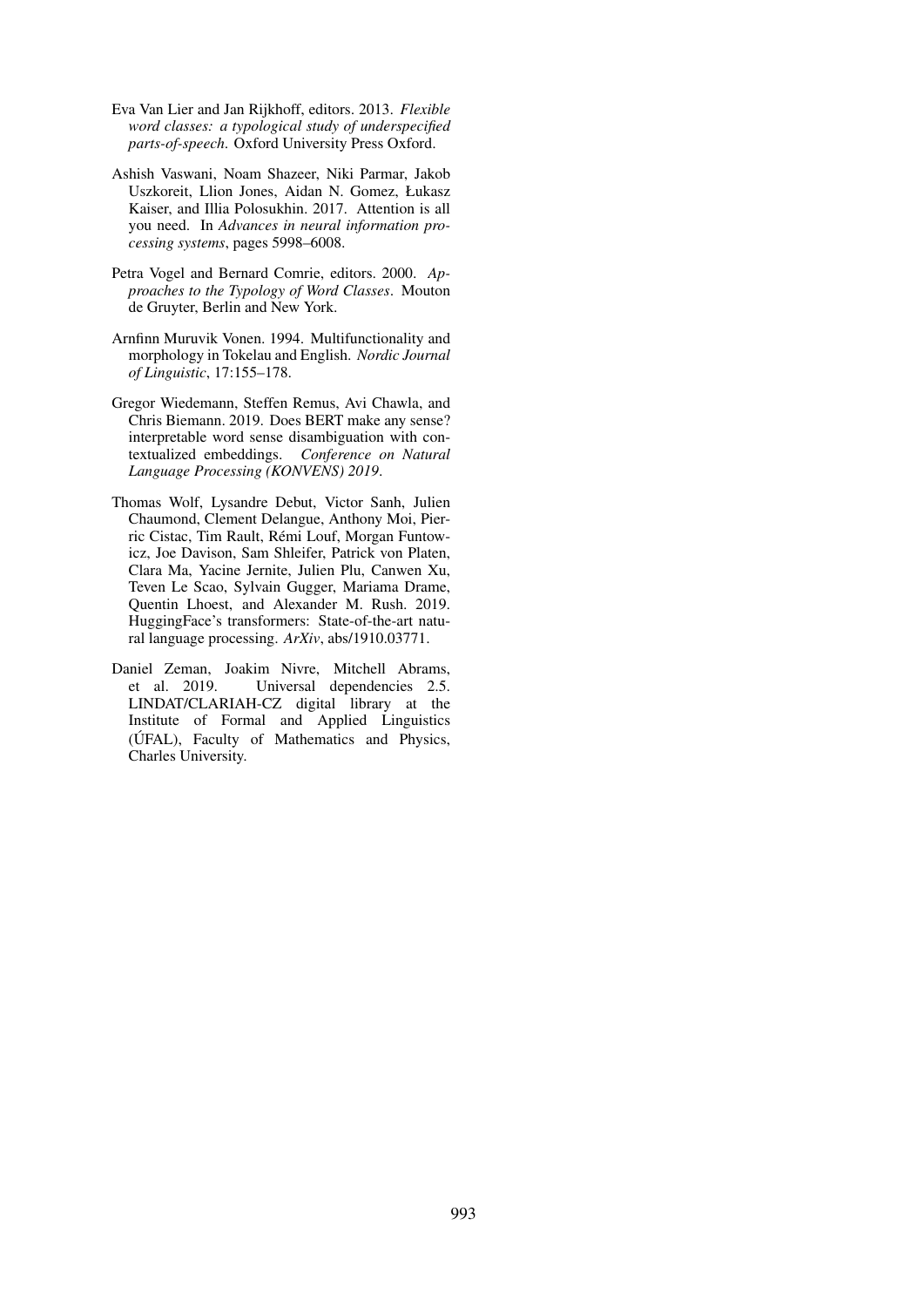- Eva Van Lier and Jan Rijkhoff, editors. 2013. *Flexible word classes: a typological study of underspecified parts-of-speech*. Oxford University Press Oxford.
- Ashish Vaswani, Noam Shazeer, Niki Parmar, Jakob Uszkoreit, Llion Jones, Aidan N. Gomez, Łukasz Kaiser, and Illia Polosukhin. 2017. Attention is all you need. In *Advances in neural information processing systems*, pages 5998–6008.
- Petra Vogel and Bernard Comrie, editors. 2000. *Approaches to the Typology of Word Classes*. Mouton de Gruyter, Berlin and New York.
- Arnfinn Muruvik Vonen. 1994. Multifunctionality and morphology in Tokelau and English. *Nordic Journal of Linguistic*, 17:155–178.
- Gregor Wiedemann, Steffen Remus, Avi Chawla, and Chris Biemann. 2019. Does BERT make any sense? interpretable word sense disambiguation with contextualized embeddings. *Conference on Natural Language Processing (KONVENS) 2019*.
- Thomas Wolf, Lysandre Debut, Victor Sanh, Julien Chaumond, Clement Delangue, Anthony Moi, Pierric Cistac, Tim Rault, Remi Louf, Morgan Funtow- ´ icz, Joe Davison, Sam Shleifer, Patrick von Platen, Clara Ma, Yacine Jernite, Julien Plu, Canwen Xu, Teven Le Scao, Sylvain Gugger, Mariama Drame, Quentin Lhoest, and Alexander M. Rush. 2019. HuggingFace's transformers: State-of-the-art natural language processing. *ArXiv*, abs/1910.03771.
- Daniel Zeman, Joakim Nivre, Mitchell Abrams, et al. 2019. Universal dependencies 2.5. LINDAT/CLARIAH-CZ digital library at the Institute of Formal and Applied Linguistics (UFAL), Faculty of Mathematics and Physics, ´ Charles University.